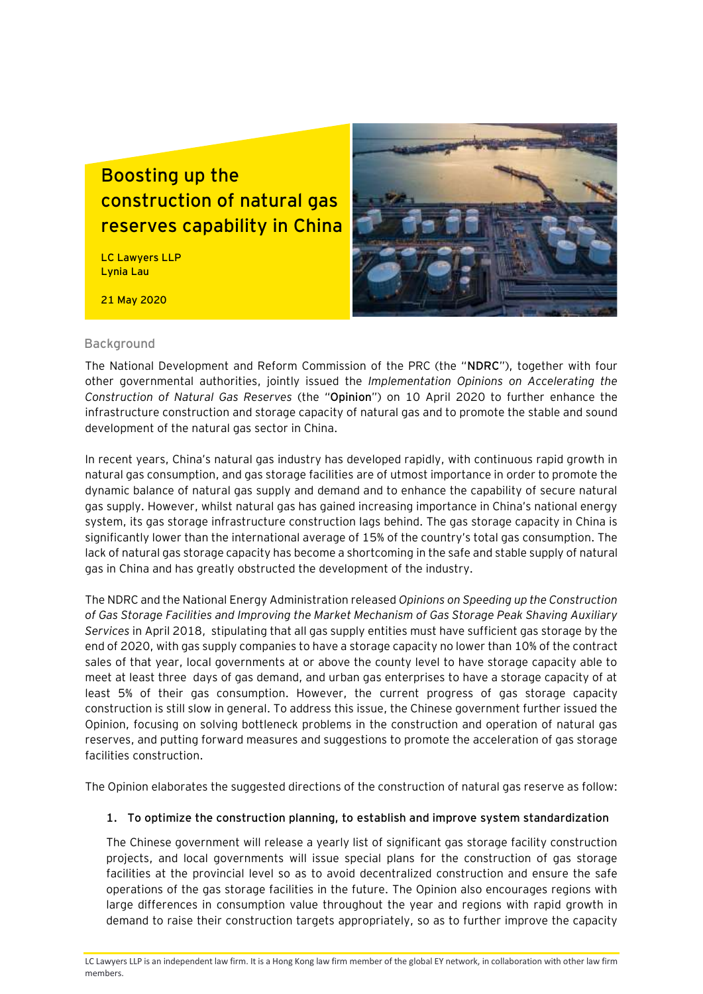# **Boosting up the construction of natural gas reserves capability in China**

LC Lawyers LLP Lynia Lau

21 May 2020



#### **Background**

The National Development and Reform Commission of the PRC (the "**NDRC**"), together with four other governmental authorities, jointly issued the *Implementation Opinions on Accelerating the Construction of Natural Gas Reserves* (the "**Opinion**") on 10 April 2020 to further enhance the infrastructure construction and storage capacity of natural gas and to promote the stable and sound development of the natural gas sector in China.

In recent years, China's natural gas industry has developed rapidly, with continuous rapid growth in natural gas consumption, and gas storage facilities are of utmost importance in order to promote the dynamic balance of natural gas supply and demand and to enhance the capability of secure natural gas supply. However, whilst natural gas has gained increasing importance in China's national energy system, its gas storage infrastructure construction lags behind. The gas storage capacity in China is significantly lower than the international average of 15% of the country's total gas consumption. The lack of natural gas storage capacity has become a shortcoming in the safe and stable supply of natural gas in China and has greatly obstructed the development of the industry.

The NDRC and the National Energy Administration released *Opinions on Speeding up the Construction of Gas Storage Facilities and Improving the Market Mechanism of Gas Storage Peak Shaving Auxiliary Services* in April 2018, stipulating that all gas supply entities must have sufficient gas storage by the end of 2020, with gas supply companies to have a storage capacity no lower than 10% of the contract sales of that year, local governments at or above the county level to have storage capacity able to meet at least three days of gas demand, and urban gas enterprises to have a storage capacity of at least 5% of their gas consumption. However, the current progress of gas storage capacity construction is still slow in general. To address this issue, the Chinese government further issued the Opinion, focusing on solving bottleneck problems in the construction and operation of natural gas reserves, and putting forward measures and suggestions to promote the acceleration of gas storage facilities construction.

The Opinion elaborates the suggested directions of the construction of natural gas reserve as follow:

#### **1. To optimize the construction planning, to establish and improve system standardization**

The Chinese government will release a yearly list of significant gas storage facility construction projects, and local governments will issue special plans for the construction of gas storage facilities at the provincial level so as to avoid decentralized construction and ensure the safe operations of the gas storage facilities in the future. The Opinion also encourages regions with large differences in consumption value throughout the year and regions with rapid growth in demand to raise their construction targets appropriately, so as to further improve the capacity

LC Lawyers LLP is an independent law firm. It is a Hong Kong law firm member of the global EY network, in collaboration with other law firm members.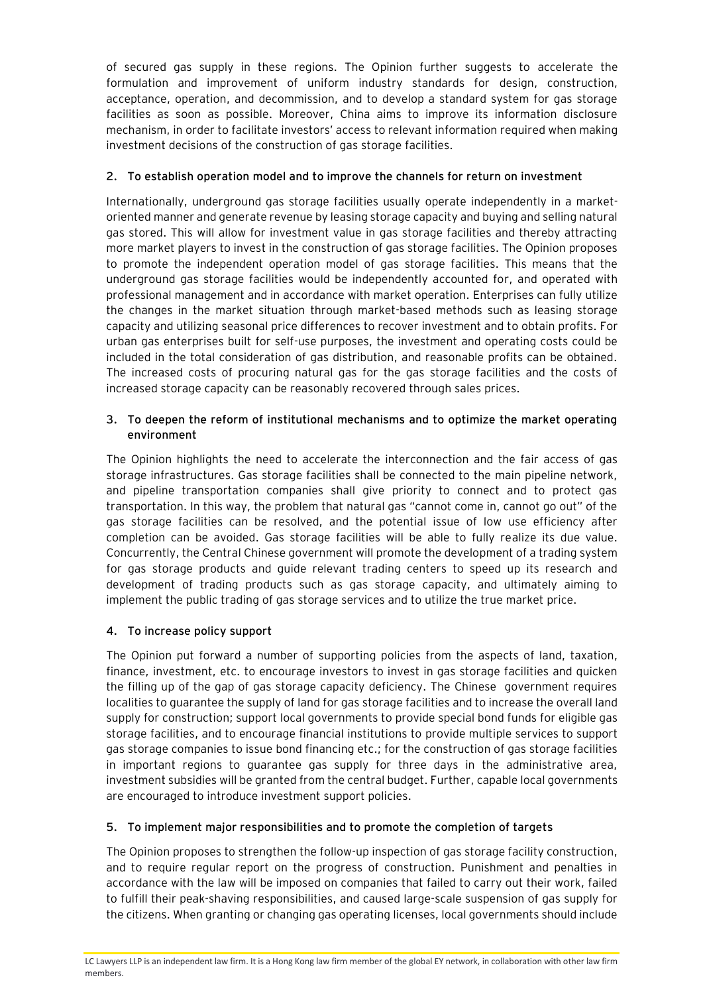of secured gas supply in these regions. The Opinion further suggests to accelerate the formulation and improvement of uniform industry standards for design, construction, acceptance, operation, and decommission, and to develop a standard system for gas storage facilities as soon as possible. Moreover, China aims to improve its information disclosure mechanism, in order to facilitate investors' access to relevant information required when making investment decisions of the construction of gas storage facilities.

## **2. To establish operation model and to improve the channels for return on investment**

Internationally, underground gas storage facilities usually operate independently in a marketoriented manner and generate revenue by leasing storage capacity and buying and selling natural gas stored. This will allow for investment value in gas storage facilities and thereby attracting more market players to invest in the construction of gas storage facilities. The Opinion proposes to promote the independent operation model of gas storage facilities. This means that the underground gas storage facilities would be independently accounted for, and operated with professional management and in accordance with market operation. Enterprises can fully utilize the changes in the market situation through market-based methods such as leasing storage capacity and utilizing seasonal price differences to recover investment and to obtain profits. For urban gas enterprises built for self-use purposes, the investment and operating costs could be included in the total consideration of gas distribution, and reasonable profits can be obtained. The increased costs of procuring natural gas for the gas storage facilities and the costs of increased storage capacity can be reasonably recovered through sales prices.

#### **3. To deepen the reform of institutional mechanisms and to optimize the market operating environment**

The Opinion highlights the need to accelerate the interconnection and the fair access of gas storage infrastructures. Gas storage facilities shall be connected to the main pipeline network, and pipeline transportation companies shall give priority to connect and to protect gas transportation. In this way, the problem that natural gas "cannot come in, cannot go out" of the gas storage facilities can be resolved, and the potential issue of low use efficiency after completion can be avoided. Gas storage facilities will be able to fully realize its due value. Concurrently, the Central Chinese government will promote the development of a trading system for gas storage products and guide relevant trading centers to speed up its research and development of trading products such as gas storage capacity, and ultimately aiming to implement the public trading of gas storage services and to utilize the true market price.

### **4. To increase policy support**

The Opinion put forward a number of supporting policies from the aspects of land, taxation, finance, investment, etc. to encourage investors to invest in gas storage facilities and quicken the filling up of the gap of gas storage capacity deficiency. The Chinese government requires localities to guarantee the supply of land for gas storage facilities and to increase the overall land supply for construction; support local governments to provide special bond funds for eligible gas storage facilities, and to encourage financial institutions to provide multiple services to support gas storage companies to issue bond financing etc.; for the construction of gas storage facilities in important regions to guarantee gas supply for three days in the administrative area, investment subsidies will be granted from the central budget. Further, capable local governments are encouraged to introduce investment support policies.

### **5. To implement major responsibilities and to promote the completion of targets**

The Opinion proposes to strengthen the follow-up inspection of gas storage facility construction, and to require regular report on the progress of construction. Punishment and penalties in accordance with the law will be imposed on companies that failed to carry out their work, failed to fulfill their peak-shaving responsibilities, and caused large-scale suspension of gas supply for the citizens. When granting or changing gas operating licenses, local governments should include

LC Lawyers LLP is an independent law firm. It is a Hong Kong law firm member of the global EY network, in collaboration with other law firm members.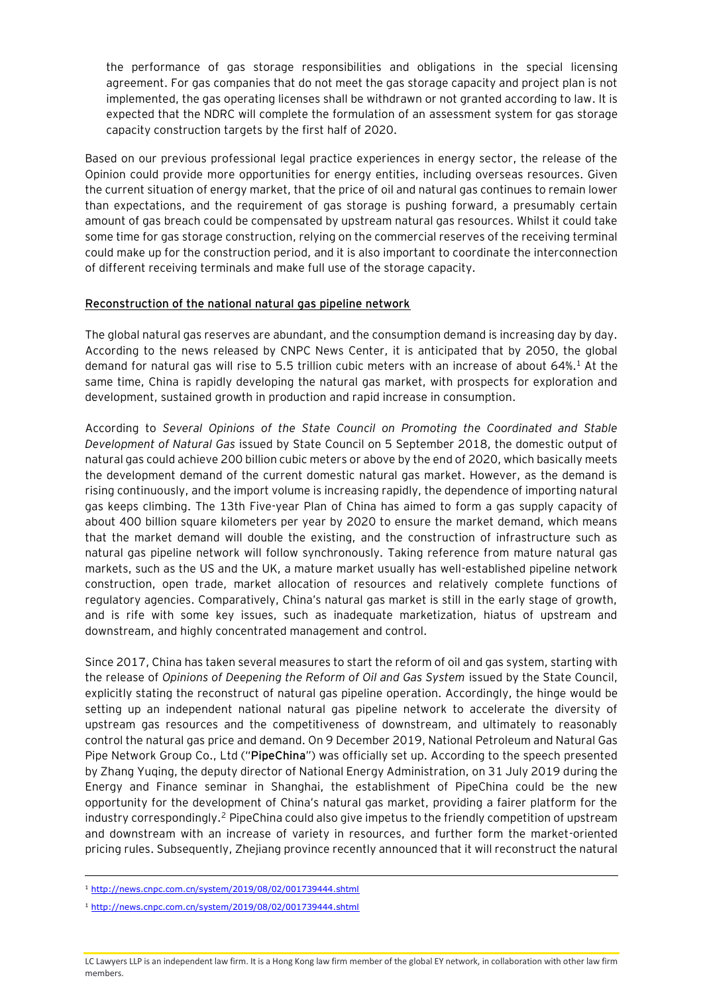the performance of gas storage responsibilities and obligations in the special licensing agreement. For gas companies that do not meet the gas storage capacity and project plan is not implemented, the gas operating licenses shall be withdrawn or not granted according to law. It is expected that the NDRC will complete the formulation of an assessment system for gas storage capacity construction targets by the first half of 2020.

Based on our previous professional legal practice experiences in energy sector, the release of the Opinion could provide more opportunities for energy entities, including overseas resources. Given the current situation of energy market, that the price of oil and natural gas continues to remain lower than expectations, and the requirement of gas storage is pushing forward, a presumably certain amount of gas breach could be compensated by upstream natural gas resources. Whilst it could take some time for gas storage construction, relying on the commercial reserves of the receiving terminal could make up for the construction period, and it is also important to coordinate the interconnection of different receiving terminals and make full use of the storage capacity.

#### **Reconstruction of the national natural gas pipeline network**

The global natural gas reserves are abundant, and the consumption demand is increasing day by day. According to the news released by CNPC News Center, it is anticipated that by 2050, the global demand for natural gas will rise to 5.5 trillion cubic meters with an increase of about 64%.<sup>1</sup> At the same time, China is rapidly developing the natural gas market, with prospects for exploration and development, sustained growth in production and rapid increase in consumption.

According to *Several Opinions of the State Council on Promoting the Coordinated and Stable Development of Natural Gas* issued by State Council on 5 September 2018, the domestic output of natural gas could achieve 200 billion cubic meters or above by the end of 2020, which basically meets the development demand of the current domestic natural gas market. However, as the demand is rising continuously, and the import volume is increasing rapidly, the dependence of importing natural gas keeps climbing. The 13th Five-year Plan of China has aimed to form a gas supply capacity of about 400 billion square kilometers per year by 2020 to ensure the market demand, which means that the market demand will double the existing, and the construction of infrastructure such as natural gas pipeline network will follow synchronously. Taking reference from mature natural gas markets, such as the US and the UK, a mature market usually has well-established pipeline network construction, open trade, market allocation of resources and relatively complete functions of regulatory agencies. Comparatively, China's natural gas market is still in the early stage of growth, and is rife with some key issues, such as inadequate marketization, hiatus of upstream and downstream, and highly concentrated management and control.

Since 2017, China has taken several measures to start the reform of oil and gas system, starting with the release of *Opinions of Deepening the Reform of Oil and Gas System* issued by the State Council, explicitly stating the reconstruct of natural gas pipeline operation. Accordingly, the hinge would be setting up an independent national natural gas pipeline network to accelerate the diversity of upstream gas resources and the competitiveness of downstream, and ultimately to reasonably control the natural gas price and demand. On 9 December 2019, National Petroleum and Natural Gas Pipe Network Group Co., Ltd ("**PipeChina**") was officially set up. According to the speech presented by Zhang Yuqing, the deputy director of National Energy Administration, on 31 July 2019 during the Energy and Finance seminar in Shanghai, the establishment of PipeChina could be the new opportunity for the development of China's natural gas market, providing a fairer platform for the industry correspondingly.<sup>2</sup> PipeChina could also give impetus to the friendly competition of upstream and downstream with an increase of variety in resources, and further form the market-oriented pricing rules. Subsequently, Zhejiang province recently announced that it will reconstruct the natural

<sup>1</sup> <http://news.cnpc.com.cn/system/2019/08/02/001739444.shtml>

<sup>1</sup> <http://news.cnpc.com.cn/system/2019/08/02/001739444.shtml>

LC Lawyers LLP is an independent law firm. It is a Hong Kong law firm member of the global EY network, in collaboration with other law firm members.